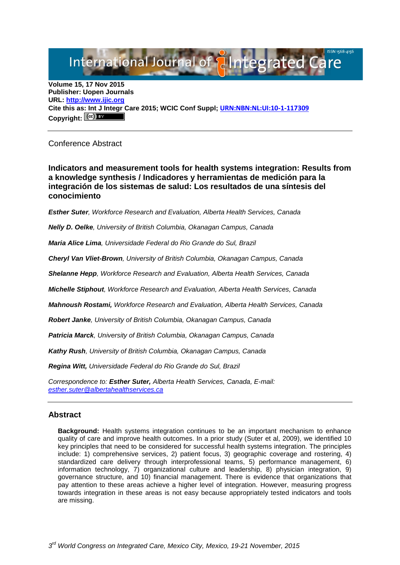# International Journal of **Alntegrated Care**

**Volume 15, 17 Nov 2015 Publisher: Uopen Journals URL: [http://www.ijic.org](http://www.ijic.org/) Cite this as: Int J Integr Care 2015; WCIC Conf Suppl; [URN:NBN:NL:UI:10-1-117309](http://persistent-identifier.nl/?identifier=URN:NBN:NL:UI:10-1-117309) Copyright:**

## Conference Abstract

**Indicators and measurement tools for health systems integration: Results from a knowledge synthesis / Indicadores y herramientas de medición para la integración de los sistemas de salud: Los resultados de una síntesis del conocimiento**

*Esther Suter, Workforce Research and Evaluation, Alberta Health Services, Canada*

*Nelly D. Oelke, University of British Columbia, Okanagan Campus, Canada*

*Maria Alice Lima, Universidade Federal do Rio Grande do Sul, Brazil*

*Cheryl Van Vliet-Brown, University of British Columbia, Okanagan Campus, Canada*

*Shelanne Hepp, Workforce Research and Evaluation, Alberta Health Services, Canada* 

*Michelle Stiphout, Workforce Research and Evaluation, Alberta Health Services, Canada* 

*Mahnoush Rostami, Workforce Research and Evaluation, Alberta Health Services, Canada* 

*Robert Janke, University of British Columbia, Okanagan Campus, Canada* 

*Patricia Marck, University of British Columbia, Okanagan Campus, Canada*

*Kathy Rush, University of British Columbia, Okanagan Campus, Canada*

*Regina Witt, Universidade Federal do Rio Grande do Sul, Brazil*

*Correspondence to: Esther Suter, Alberta Health Services, Canada, E-mail: [esther.suter@albertahealthservices.ca](mailto:esther.suter@albertahealthservices.ca)*

## **Abstract**

**Background:** Health systems integration continues to be an important mechanism to enhance quality of care and improve health outcomes. In a prior study (Suter et al, 2009), we identified 10 key principles that need to be considered for successful health systems integration. The principles include: 1) comprehensive services, 2) patient focus, 3) geographic coverage and rostering, 4) standardized care delivery through interprofessional teams, 5) performance management, 6) information technology, 7) organizational culture and leadership, 8) physician integration, 9) governance structure, and 10) financial management. There is evidence that organizations that pay attention to these areas achieve a higher level of integration. However, measuring progress towards integration in these areas is not easy because appropriately tested indicators and tools are missing.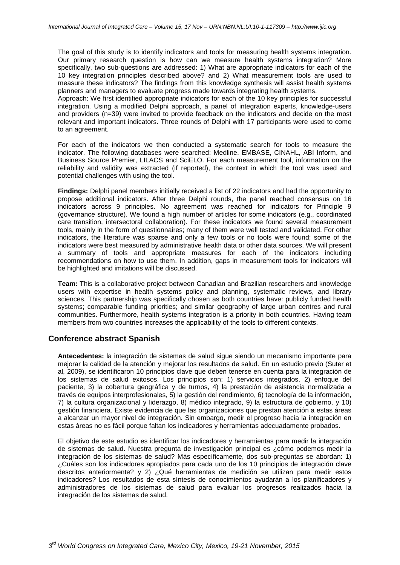The goal of this study is to identify indicators and tools for measuring health systems integration. Our primary research question is how can we measure health systems integration? More specifically, two sub-questions are addressed: 1) What are appropriate indicators for each of the 10 key integration principles described above? and 2) What measurement tools are used to measure these indicators? The findings from this knowledge synthesis will assist health systems planners and managers to evaluate progress made towards integrating health systems.

Approach: We first identified appropriate indicators for each of the 10 key principles for successful integration. Using a modified Delphi approach, a panel of integration experts, knowledge-users and providers (n=39) were invited to provide feedback on the indicators and decide on the most relevant and important indicators. Three rounds of Delphi with 17 participants were used to come to an agreement.

For each of the indicators we then conducted a systematic search for tools to measure the indicator. The following databases were searched: Medline, EMBASE, CINAHL, ABI Inform, and Business Source Premier, LILACS and SciELO. For each measurement tool, information on the reliability and validity was extracted (if reported), the context in which the tool was used and potential challenges with using the tool.

**Findings:** Delphi panel members initially received a list of 22 indicators and had the opportunity to propose additional indicators. After three Delphi rounds, the panel reached consensus on 16 indicators across 9 principles. No agreement was reached for indicators for Principle 9 (governance structure). We found a high number of articles for some indicators (e.g., coordinated care transition, intersectoral collaboration). For these indicators we found several measurement tools, mainly in the form of questionnaires; many of them were well tested and validated. For other indicators, the literature was sparse and only a few tools or no tools were found; some of the indicators were best measured by administrative health data or other data sources. We will present a summary of tools and appropriate measures for each of the indicators including recommendations on how to use them. In addition, gaps in measurement tools for indicators will be highlighted and imitations will be discussed.

**Team:** This is a collaborative project between Canadian and Brazilian researchers and knowledge users with expertise in health systems policy and planning, systematic reviews, and library sciences. This partnership was specifically chosen as both countries have: publicly funded health systems; comparable funding priorities; and similar geography of large urban centres and rural communities. Furthermore, health systems integration is a priority in both countries. Having team members from two countries increases the applicability of the tools to different contexts.

## **Conference abstract Spanish**

**Antecedentes:** la integración de sistemas de salud sigue siendo un mecanismo importante para mejorar la calidad de la atención y mejorar los resultados de salud. En un estudio previo (Suter et al, 2009), se identificaron 10 principios clave que deben tenerse en cuenta para la integración de los sistemas de salud exitosos. Los principios son: 1) servicios integrados, 2) enfoque del paciente, 3) la cobertura geográfica y de turnos, 4) la prestación de asistencia normalizada a través de equipos interprofesionales, 5) la gestión del rendimiento, 6) tecnología de la información, 7) la cultura organizacional y liderazgo, 8) médico integrado, 9) la estructura de gobierno, y 10) gestión financiera. Existe evidencia de que las organizaciones que prestan atención a estas áreas a alcanzar un mayor nivel de integración. Sin embargo, medir el progreso hacia la integración en estas áreas no es fácil porque faltan los indicadores y herramientas adecuadamente probados.

El objetivo de este estudio es identificar los indicadores y herramientas para medir la integración de sistemas de salud. Nuestra pregunta de investigación principal es ¿cómo podemos medir la integración de los sistemas de salud? Más específicamente, dos sub-preguntas se abordan: 1) ¿Cuáles son los indicadores apropiados para cada uno de los 10 principios de integración clave descritos anteriormente? y 2) ¿Qué herramientas de medición se utilizan para medir estos indicadores? Los resultados de esta síntesis de conocimientos ayudarán a los planificadores y administradores de los sistemas de salud para evaluar los progresos realizados hacia la integración de los sistemas de salud.